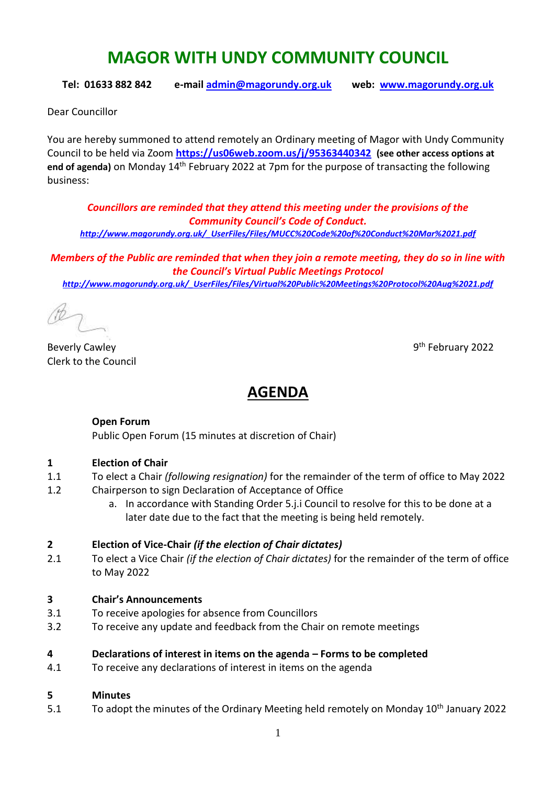# **MAGOR WITH UNDY COMMUNITY COUNCIL**

**Tel: 01633 882 842 e-mail [admin@magorundy.org.uk](mailto:admin@magorundy.org.uk) web: [www.magorundy.org.uk](http://www.magorundy.org.uk/)**

Dear Councillor

You are hereby summoned to attend remotely an Ordinary meeting of Magor with Undy Community Council to be held via Zoom **<https://us06web.zoom.us/j/95363440342> (see other access options at**  end of agenda) on Monday 14<sup>th</sup> February 2022 at 7pm for the purpose of transacting the following business:

*Councillors are reminded that they attend this meeting under the provisions of the Community Council's Code of Conduct. [http://www.magorundy.org.uk/\\_UserFiles/Files/MUCC%20Code%20of%20Conduct%20Mar%2021.pdf](http://www.magorundy.org.uk/_UserFiles/Files/MUCC%20Code%20of%20Conduct%20Mar%2021.pdf)*

*Members of the Public are reminded that when they join a remote meeting, they do so in line with the Council's Virtual Public Meetings Protocol [http://www.magorundy.org.uk/\\_UserFiles/Files/Virtual%20Public%20Meetings%20Protocol%20Aug%2021.pdf](http://www.magorundy.org.uk/_UserFiles/Files/Virtual%20Public%20Meetings%20Protocol%20Aug%2021.pdf)*

**Beverly Cawley** Clerk to the Council

9<sup>th</sup> February 2022

# **AGENDA**

#### **Open Forum**

Public Open Forum (15 minutes at discretion of Chair)

#### **1 Election of Chair**

- 1.1 To elect a Chair *(following resignation)* for the remainder of the term of office to May 2022
- 1.2 Chairperson to sign Declaration of Acceptance of Office
	- a. In accordance with Standing Order 5.j.i Council to resolve for this to be done at a later date due to the fact that the meeting is being held remotely.

#### **2 Election of Vice-Chair** *(if the election of Chair dictates)*

2.1 To elect a Vice Chair *(if the election of Chair dictates)* for the remainder of the term of office to May 2022

#### **3 Chair's Announcements**

- 3.1 To receive apologies for absence from Councillors
- 3.2 To receive any update and feedback from the Chair on remote meetings

#### **4 Declarations of interest in items on the agenda – Forms to be completed**

4.1 To receive any declarations of interest in items on the agenda

#### **5 Minutes**

5.1 To adopt the minutes of the Ordinary Meeting held remotely on Monday 10<sup>th</sup> January 2022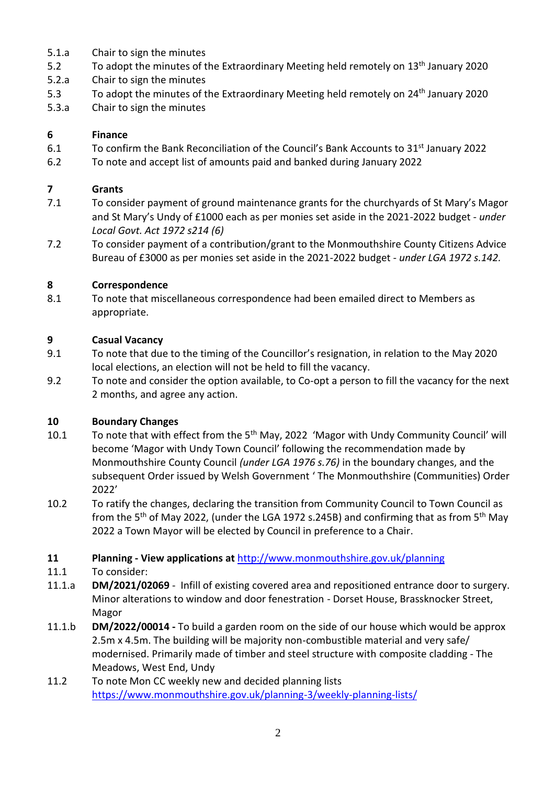- 5.1.a Chair to sign the minutes
- 5.2 To adopt the minutes of the Extraordinary Meeting held remotely on 13<sup>th</sup> January 2020
- 5.2.a Chair to sign the minutes
- 5.3 To adopt the minutes of the Extraordinary Meeting held remotely on 24<sup>th</sup> January 2020
- 5.3.a Chair to sign the minutes

# **6 Finance**

- 6.1 To confirm the Bank Reconciliation of the Council's Bank Accounts to 31<sup>st</sup> January 2022
- 6.2 To note and accept list of amounts paid and banked during January 2022

# **7 Grants**

- 7.1 To consider payment of ground maintenance grants for the churchyards of St Mary's Magor and St Mary's Undy of £1000 each as per monies set aside in the 2021-2022 budget - *under Local Govt. Act 1972 s214 (6)*
- 7.2 To consider payment of a contribution/grant to the Monmouthshire County Citizens Advice Bureau of £3000 as per monies set aside in the 2021-2022 budget - *under LGA 1972 s.142.*

# **8 Correspondence**

8.1 To note that miscellaneous correspondence had been emailed direct to Members as appropriate.

# **9 Casual Vacancy**

- 9.1 To note that due to the timing of the Councillor's resignation, in relation to the May 2020 local elections, an election will not be held to fill the vacancy.
- 9.2 To note and consider the option available, to Co-opt a person to fill the vacancy for the next 2 months, and agree any action.

# **10 Boundary Changes**

- 10.1 To note that with effect from the 5<sup>th</sup> May, 2022 'Magor with Undy Community Council' will become 'Magor with Undy Town Council' following the recommendation made by Monmouthshire County Council *(under LGA 1976 s.76)* in the boundary changes, and the subsequent Order issued by Welsh Government ' The Monmouthshire (Communities) Order 2022'
- 10.2 To ratify the changes, declaring the transition from Community Council to Town Council as from the 5<sup>th</sup> of May 2022, (under the LGA 1972 s.245B) and confirming that as from 5<sup>th</sup> May 2022 a Town Mayor will be elected by Council in preference to a Chair.
- **11 Planning - View applications at** <http://www.monmouthshire.gov.uk/planning>
- 11.1 To consider:
- 11.1.a **DM/2021/02069** Infill of existing covered area and repositioned entrance door to surgery. Minor alterations to window and door fenestration - Dorset House, Brassknocker Street, Magor
- 11.1.b **DM/2022/00014 -** To build a garden room on the side of our house which would be approx 2.5m x 4.5m. The building will be majority non-combustible material and very safe/ modernised. Primarily made of timber and steel structure with composite cladding - The Meadows, West End, Undy
- 11.2 To note Mon CC weekly new and decided planning lists <https://www.monmouthshire.gov.uk/planning-3/weekly-planning-lists/>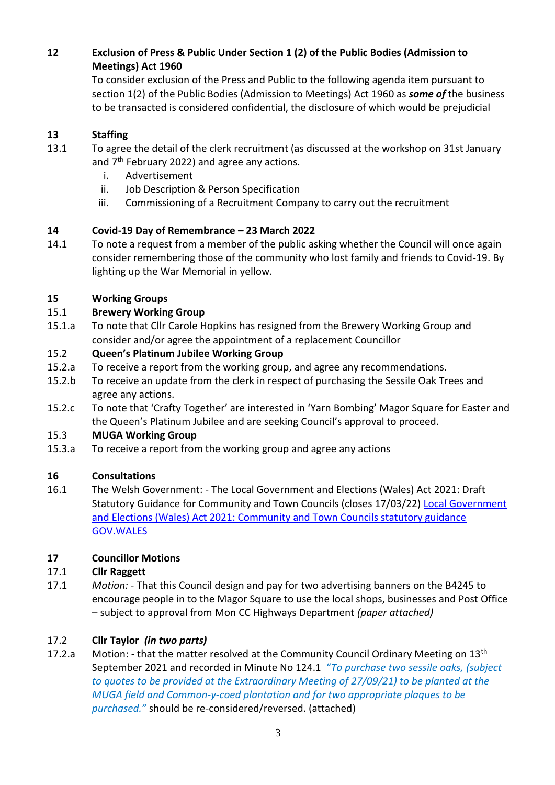# **12 Exclusion of Press & Public Under Section 1 (2) of the Public Bodies (Admission to Meetings) Act 1960**

To consider exclusion of the Press and Public to the following agenda item pursuant to section 1(2) of the Public Bodies (Admission to Meetings) Act 1960 as *some of* the business to be transacted is considered confidential, the disclosure of which would be prejudicial

# **13 Staffing**

- 13.1 To agree the detail of the clerk recruitment (as discussed at the workshop on 31st January and  $7<sup>th</sup>$  February 2022) and agree any actions.
	- i. Advertisement
	- ii. Job Description & Person Specification
	- iii. Commissioning of a Recruitment Company to carry out the recruitment

# **14 Covid-19 Day of Remembrance – 23 March 2022**

14.1 To note a request from a member of the public asking whether the Council will once again consider remembering those of the community who lost family and friends to Covid-19. By lighting up the War Memorial in yellow.

#### **15 Working Groups**

# 15.1 **Brewery Working Group**

15.1.a To note that Cllr Carole Hopkins has resigned from the Brewery Working Group and consider and/or agree the appointment of a replacement Councillor

# 15.2 **Queen's Platinum Jubilee Working Group**

- 15.2.a To receive a report from the working group, and agree any recommendations.
- 15.2.b To receive an update from the clerk in respect of purchasing the Sessile Oak Trees and agree any actions.
- 15.2.c To note that 'Crafty Together' are interested in 'Yarn Bombing' Magor Square for Easter and the Queen's Platinum Jubilee and are seeking Council's approval to proceed.

#### 15.3 **MUGA Working Group**

15.3.a To receive a report from the working group and agree any actions

#### **16 Consultations**

16.1 The Welsh Government: - The Local Government and Elections (Wales) Act 2021: Draft Statutory Guidance for Community and Town Councils (closes 17/03/22) Local Government [and Elections \(Wales\) Act 2021: Community and Town Councils statutory guidance](https://eur01.safelinks.protection.outlook.com/?url=https%3A%2F%2Fgov.wales%2Flocal-government-and-elections-wales-act-2021-community-and-town-councils-statutory-guidance&data=04%7C01%7CTim.Donegani%40gov.wales%7C6e9dcaa8cbe6407f475b08d9c07ff061%7Ca2cc36c592804ae78887d06dab89216b%7C0%7C0%7C637752477982030045%7CUnknown%7CTWFpbGZsb3d8eyJWIjoiMC4wLjAwMDAiLCJQIjoiV2luMzIiLCJBTiI6Ik1haWwiLCJXVCI6Mn0%3D%7C3000&sdata=jAe1JMc37NgDAYhmPZoF80LkNbWaND1m5UQ3vZeWBaU%3D&reserved=0)  [GOV.WALES](https://eur01.safelinks.protection.outlook.com/?url=https%3A%2F%2Fgov.wales%2Flocal-government-and-elections-wales-act-2021-community-and-town-councils-statutory-guidance&data=04%7C01%7CTim.Donegani%40gov.wales%7C6e9dcaa8cbe6407f475b08d9c07ff061%7Ca2cc36c592804ae78887d06dab89216b%7C0%7C0%7C637752477982030045%7CUnknown%7CTWFpbGZsb3d8eyJWIjoiMC4wLjAwMDAiLCJQIjoiV2luMzIiLCJBTiI6Ik1haWwiLCJXVCI6Mn0%3D%7C3000&sdata=jAe1JMc37NgDAYhmPZoF80LkNbWaND1m5UQ3vZeWBaU%3D&reserved=0)

#### **17 Councillor Motions**

#### 17.1 **Cllr Raggett**

17.1 *Motion: -* That this Council design and pay for two advertising banners on the B4245 to encourage people in to the Magor Square to use the local shops, businesses and Post Office – subject to approval from Mon CC Highways Department *(paper attached)*

# 17.2 **Cllr Taylor** *(in two parts)*

17.2.a Motion: - that the matter resolved at the Community Council Ordinary Meeting on  $13<sup>th</sup>$ September 2021 and recorded in Minute No 124.1 "*To purchase two sessile oaks, (subject to quotes to be provided at the Extraordinary Meeting of 27/09/21) to be planted at the MUGA field and Common-y-coed plantation and for two appropriate plaques to be purchased."* should be re-considered/reversed. (attached)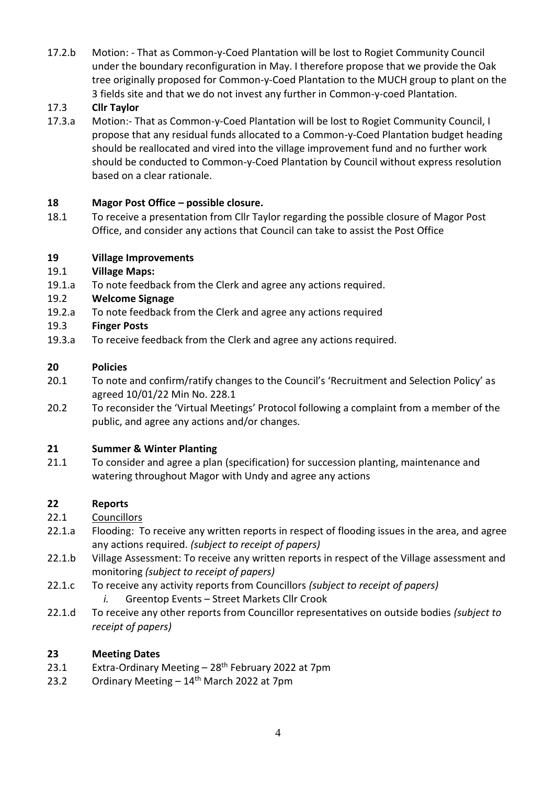17.2.b Motion: - That as Common-y-Coed Plantation will be lost to Rogiet Community Council under the boundary reconfiguration in May. I therefore propose that we provide the Oak tree originally proposed for Common-y-Coed Plantation to the MUCH group to plant on the 3 fields site and that we do not invest any further in Common-y-coed Plantation.

# 17.3 **Cllr Taylor**

17.3.a Motion:- That as Common-y-Coed Plantation will be lost to Rogiet Community Council, I propose that any residual funds allocated to a Common-y-Coed Plantation budget heading should be reallocated and vired into the village improvement fund and no further work should be conducted to Common-y-Coed Plantation by Council without express resolution based on a clear rationale.

# **18 Magor Post Office – possible closure.**

18.1 To receive a presentation from Cllr Taylor regarding the possible closure of Magor Post Office, and consider any actions that Council can take to assist the Post Office

# **19 Village Improvements**

#### 19.1 **Village Maps:**

19.1.a To note feedback from the Clerk and agree any actions required.

#### 19.2 **Welcome Signage**

19.2.a To note feedback from the Clerk and agree any actions required

#### 19.3 **Finger Posts**

19.3.a To receive feedback from the Clerk and agree any actions required.

#### **20 Policies**

- 20.1 To note and confirm/ratify changes to the Council's 'Recruitment and Selection Policy' as agreed 10/01/22 Min No. 228.1
- 20.2 To reconsider the 'Virtual Meetings' Protocol following a complaint from a member of the public, and agree any actions and/or changes.

#### **21 Summer & Winter Planting**

21.1 To consider and agree a plan (specification) for succession planting, maintenance and watering throughout Magor with Undy and agree any actions

# **22 Reports**

- 22.1 Councillors
- 22.1.a Flooding: To receive any written reports in respect of flooding issues in the area, and agree any actions required. *(subject to receipt of papers)*
- 22.1.b Village Assessment: To receive any written reports in respect of the Village assessment and monitoring *(subject to receipt of papers)*
- 22.1.c To receive any activity reports from Councillors *(subject to receipt of papers)*
	- *i.* Greentop Events Street Markets Cllr Crook
- 22.1.d To receive any other reports from Councillor representatives on outside bodies *(subject to receipt of papers)*

#### **23 Meeting Dates**

- 23.1 Extra-Ordinary Meeting  $-28$ <sup>th</sup> February 2022 at 7pm
- 23.2 Ordinary Meeting  $-14$ <sup>th</sup> March 2022 at 7pm